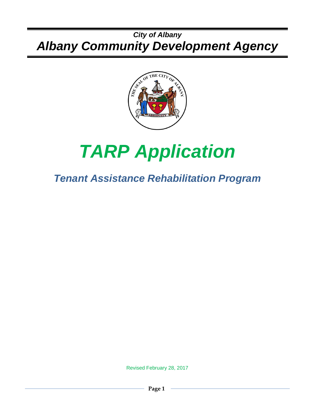## *City of Albany Albany Community Development Agency*



# *TARP Application*

# *Tenant Assistance Rehabilitation Program*

Revised February 28, 2017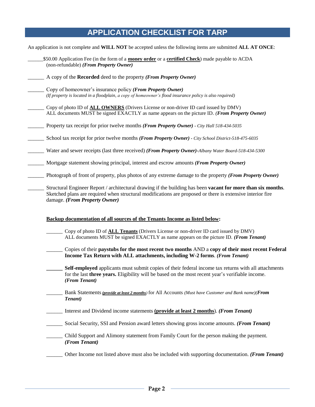#### **APPLICATION CHECKLIST FOR TARP**

An application is not complete and **WILL NOT** be accepted unless the following items are submitted **ALL AT ONCE**: \_\_\_\_\_\_\$50.00 Application Fee (in the form of a **money order** or a **certified Check**) made payable to ACDA (non-refundable) *(From Property Owner)* \_\_\_\_\_\_ A copy of the **Recorded** deed to the property *(From Property Owner)* \_\_\_\_\_\_ Copy of homeowner's insurance policy *(From Property Owner) (If property is located in a floodplain, a copy of homeowner's flood insurance policy is also required)* \_\_\_\_\_\_ Copy of photo ID of **ALL OWNERS** (Drivers License or non-driver ID card issued by DMV) ALL documents MUST be signed EXACTLY as name appears on the picture ID. *(From Property Owner)* \_\_\_\_\_\_ Property tax receipt for prior twelve months *(From Property Owner) - City Hall 518-434-5035* \_\_\_\_\_\_ School tax receipt for prior twelve months *(From Property Owner) - City School District-518-475-6035* \_\_\_\_\_\_ Water and sewer receipts (last three received) *(From Property Owner)-Albany Water Board-518-434-5300* \_\_\_\_\_\_ Mortgage statement showing principal, interest and escrow amounts *(From Property Owner)* \_\_\_\_\_\_ Photograph of front of property, plus photos of any extreme damage to the property *(From Property Owner)* \_\_\_\_\_\_ Structural Engineer Report / architectural drawing if the building has been **vacant for more than six months**. Sketched plans are required when structural modifications are proposed or there is extensive interior fire damage. *(From Property Owner)* **Backup documentation of all sources of the Tenants Income as listed below:** \_\_\_\_\_\_ Copy of photo ID of **ALL Tenants** (Drivers License or non-driver ID card issued by DMV) ALL documents MUST be signed EXACTLY as name appears on the picture ID. *(From Tenant)* \_\_\_\_\_\_ Copies of their **paystubs for the most recent two months** AND a **copy of their most recent Federal Income Tax Return with ALL attachments, including W-2 forms**. *(From Tenant)* **\_\_\_\_\_\_ Self-employed** applicants must submit copies of their federal income tax returns with all attachments for the last **three years.** Eligibility will be based on the most recent year's verifiable income. *(From Tenant)* \_\_\_\_\_\_ Bank Statements*(provide at least 2 months)* for All Accounts *(Must have Customer and Bank name)(From Tenant)* \_\_\_\_\_\_ Interest and Dividend income statements **(provide at least 2 months**). *(From Tenant)* \_\_\_\_\_\_ Social Security, SSI and Pension award letters showing gross income amounts. *(From Tenant)* \_\_\_\_\_\_ Child Support and Alimony statement from Family Court for the person making the payment. *(From Tenant)* \_\_\_\_\_\_ Other Income not listed above must also be included with supporting documentation. *(From Tenant)*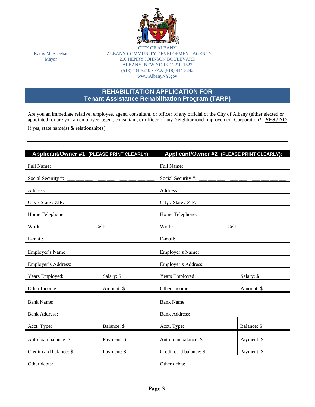

CITY OF ALB Kathy M. Sheehan ALBANY COMMUNITY DEVELOPMENT AGENCY Mayor 200 HENRY JOHNSON BOULEVARD ALBANY, NEW YORK 12210-1522 (518) 434-5240 **•** FAX (518) 434-5242 www.AlbanyNY.gov

#### **REHABILITATION APPLICATION FOR Tenant Assistance Rehabilitation Program (TARP)**

Are you an immediate relative, employee, agent, consultant, or officer of any official of the City of Albany (either elected or appointed) or are you an employee, agent, consultant, or officer of any Neighborhood Improvement Corporation? **YES / NO**

If yes, state name(s)  $\&$  relationship(s):

| Applicant/Owner #1 (PLEASE PRINT CLEARLY): |             | Applicant/Owner #2 (PLEASE PRINT CLEARLY): |             |  |  |
|--------------------------------------------|-------------|--------------------------------------------|-------------|--|--|
| Full Name:                                 |             | Full Name:                                 |             |  |  |
| Social Security #: ___ __ __ _ _ _ _ _ _ _ |             | Social Security #: ___ __ __ _ _ _ __ _    |             |  |  |
| Address:                                   |             | Address:                                   |             |  |  |
| City / State / ZIP:                        |             | City / State / ZIP:                        |             |  |  |
| Home Telephone:                            |             | Home Telephone:                            |             |  |  |
|                                            |             |                                            |             |  |  |
| Work:                                      | Cell:       | Work:                                      | Cell:       |  |  |
| E-mail:                                    |             | E-mail:                                    |             |  |  |
| Employer's Name:                           |             | Employer's Name:                           |             |  |  |
| Employer's Address:                        |             | Employer's Address:                        |             |  |  |
| Years Employed:                            | Salary: \$  | Years Employed:                            | Salary: \$  |  |  |
| Other Income:                              | Amount: \$  | Other Income:                              | Amount: \$  |  |  |
| <b>Bank Name:</b>                          |             | <b>Bank Name:</b>                          |             |  |  |
| <b>Bank Address:</b>                       |             | <b>Bank Address:</b>                       |             |  |  |
| Acct. Type:                                | Balance: \$ | Acct. Type:                                | Balance: \$ |  |  |
| Auto loan balance: \$                      | Payment: \$ | Auto loan balance: \$<br>Payment: \$       |             |  |  |
| Credit card balance: \$                    | Payment: \$ | Credit card balance: \$                    | Payment: \$ |  |  |
| Other debts:                               |             | Other debts:                               |             |  |  |
|                                            |             |                                            |             |  |  |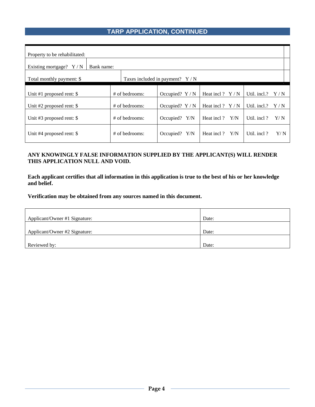#### **TARP APPLICATION, CONTINUED**

| Property to be rehabilitated:          |                  |                                  |                   |              |     |
|----------------------------------------|------------------|----------------------------------|-------------------|--------------|-----|
| Bank name:<br>Existing mortgage? $Y/N$ |                  |                                  |                   |              |     |
| Total monthly payment: \$              |                  | Taxes included in payment? $Y/N$ |                   |              |     |
| Unit #1 proposed rent: $\$             | # of bedrooms:   | Occupied? $Y/N$                  | Heat incl ? $Y/N$ | Util. incl.? | Y/N |
| Unit #2 proposed rent: $\$             | $#$ of bedrooms: | Occupied? $Y/N$                  | Heat incl ? $Y/N$ | Util. incl.? | Y/N |
| Unit #3 proposed rent: $\$             | $#$ of bedrooms: | Occupied? $Y/N$                  | Heat incl ? Y/N   | Util. incl?  | Y/N |
| Unit #4 proposed rent: $\$             | # of bedrooms:   | Occupied? $Y/N$                  | Heat incl?<br>Y/N | Util. incl?  | Y/N |

#### **ANY KNOWINGLY FALSE INFORMATION SUPPLIED BY THE APPLICANT(S) WILL RENDER THIS APPLICATION NULL AND VOID.**

**Each applicant certifies that all information in this application is true to the best of his or her knowledge and belief.**

**Verification may be obtained from any sources named in this document.**

| Applicant/Owner #1 Signature: | Date: |
|-------------------------------|-------|
|                               |       |
| Applicant/Owner #2 Signature: | Date: |
|                               |       |
| Reviewed by:                  | Date: |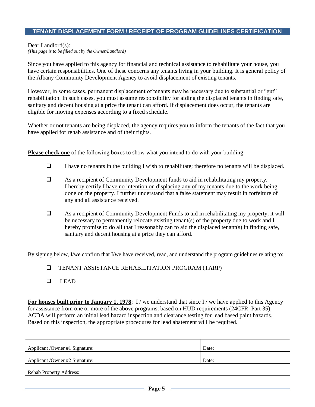#### **TENANT DISPLACEMENT FORM / RECEIPT OF PROGRAM GUIDELINES CERTIFICATION**

Dear Landlord(s):

*(This page is to be filled out by the Owner/Landlord)*

Since you have applied to this agency for financial and technical assistance to rehabilitate your house, you have certain responsibilities. One of these concerns any tenants living in your building. It is general policy of the Albany Community Development Agency to avoid displacement of existing tenants.

However, in some cases, permanent displacement of tenants may be necessary due to substantial or "gut" rehabilitation. In such cases, you must assume responsibility for aiding the displaced tenants in finding safe, sanitary and decent housing at a price the tenant can afford. If displacement does occur, the tenants are eligible for moving expenses according to a fixed schedule.

Whether or not tenants are being displaced, the agency requires you to inform the tenants of the fact that you have applied for rehab assistance and of their rights.

**Please check one** of the following boxes to show what you intend to do with your building:

- $\Box$  I have no tenants in the building I wish to rehabilitate; therefore no tenants will be displaced.
- As a recipient of Community Development funds to aid in rehabilitating my property. I hereby certify I have no intention on displacing any of my tenants due to the work being done on the property. I further understand that a false statement may result in forfeiture of any and all assistance received.
- As a recipient of Community Development Funds to aid in rehabilitating my property, it will be necessary to permanently relocate existing tenant(s) of the property due to work and I hereby promise to do all that I reasonably can to aid the displaced tenant(s) in finding safe, sanitary and decent housing at a price they can afford.

By signing below, I/we confirm that I/we have received, read, and understand the program guidelines relating to:

- TENANT ASSISTANCE REHABILITATION PROGRAM (TARP)
- $L$ EAD

**For houses built prior to January 1, 1978**: I/we understand that since I/we have applied to this Agency for assistance from one or more of the above programs, based on HUD requirements (24CFR, Part 35), ACDA will perform an initial lead hazard inspection and clearance testing for lead based paint hazards. Based on this inspection, the appropriate procedures for lead abatement will be required.

| Applicant / Owner #1 Signature: | Date: |
|---------------------------------|-------|
| Applicant / Owner #2 Signature: | Date: |
| <b>Rehab Property Address:</b>  |       |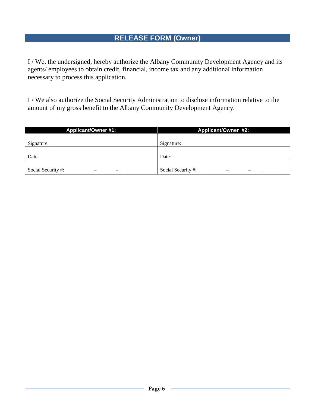## **RELEASE FORM (Owner)**

I / We, the undersigned, hereby authorize the Albany Community Development Agency and its agents/ employees to obtain credit, financial, income tax and any additional information necessary to process this application.

I / We also authorize the Social Security Administration to disclose information relative to the amount of my gross benefit to the Albany Community Development Agency.

| <b>Applicant/Owner #1:</b> | <b>Applicant/Owner #2:</b> |
|----------------------------|----------------------------|
|                            |                            |
| Signature:                 | Signature:                 |
|                            |                            |
| Date:                      | Date:                      |
|                            |                            |
| Social Security #:         | Social Security #:         |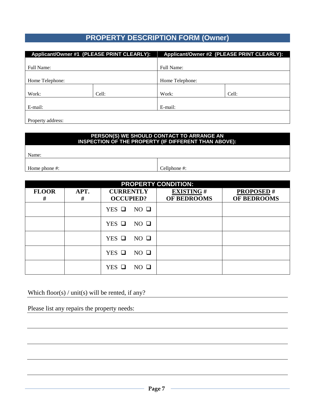### **PROPERTY DESCRIPTION FORM (Owner)**

|                   | Applicant/Owner #1 (PLEASE PRINT CLEARLY): |                 | Applicant/Owner #2 (PLEASE PRINT CLEARLY): |  |
|-------------------|--------------------------------------------|-----------------|--------------------------------------------|--|
|                   |                                            |                 |                                            |  |
| Full Name:        |                                            | Full Name:      |                                            |  |
|                   |                                            |                 |                                            |  |
| Home Telephone:   |                                            | Home Telephone: |                                            |  |
|                   |                                            |                 |                                            |  |
| Work:             | Cell:                                      | Work:           | Cell:                                      |  |
|                   |                                            |                 |                                            |  |
| E-mail:           |                                            | E-mail:         |                                            |  |
|                   |                                            |                 |                                            |  |
| Property address: |                                            |                 |                                            |  |

#### **PERSON(S) WE SHOULD CONTACT TO ARRANGE AN INSPECTION OF THE PROPERTY (IF DIFFERENT THAN ABOVE):**

Name:

Home phone #:  $\Box$  Cellphone #:

| <b>PROPERTY CONDITION:</b> |           |                                      |                                 |                                 |  |  |
|----------------------------|-----------|--------------------------------------|---------------------------------|---------------------------------|--|--|
| <b>FLOOR</b><br>#          | APT.<br># | <b>CURRENTLY</b><br><b>OCCUPIED?</b> | <b>EXISTING#</b><br>OF BEDROOMS | <b>PROPOSED#</b><br>OF BEDROOMS |  |  |
|                            |           | $NO$ $\Box$<br>$YES$ $\Box$          |                                 |                                 |  |  |
|                            |           | $YES$ $\Box$<br>$NO$ $\Box$          |                                 |                                 |  |  |
|                            |           | YES $\Box$<br>$NO$ $\Box$            |                                 |                                 |  |  |
|                            |           | $YES$ $\Box$<br>$NO$ $\Box$          |                                 |                                 |  |  |
|                            |           | $NO$ $\Box$<br>$YES$ $\square$       |                                 |                                 |  |  |

Which floor(s) / unit(s) will be rented, if any?

Please list any repairs the property needs: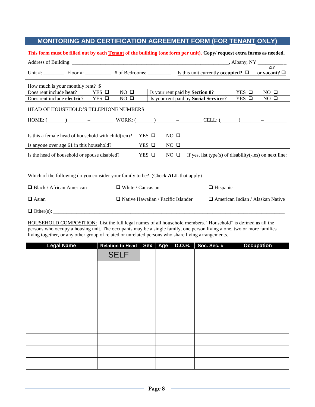#### **MONITORING AND CERTIFICATION AGREEMENT FORM (FOR TENANT ONLY)**

#### **This form must be filled out by each Tenant of the building (one form per unit). Copy/ request extra forms as needed.**

| Unit #: Floor #: $\Box$ Floor #: $\Box$ # of Bedrooms: $\Box$ Is this unit currently occupied? $\Box$ or vacant? $\Box$ |                             |                          |                                           |                                                        |                 |                                         |
|-------------------------------------------------------------------------------------------------------------------------|-----------------------------|--------------------------|-------------------------------------------|--------------------------------------------------------|-----------------|-----------------------------------------|
| How much is your monthly rent? \$                                                                                       |                             |                          |                                           |                                                        |                 |                                         |
| Does rent include heat?                                                                                                 | $NO$ $\Box$<br>$YES$ $\Box$ |                          |                                           | Is your rent paid by Section 8?                        | $YES$ $\square$ | $NO$ $\Box$                             |
| Does rent include electric?                                                                                             | $YES$ $\Box$<br>$NO$ $\Box$ |                          |                                           | Is your rent paid by Social Services?                  | $YES$ $\Box$    | $NO$ $\square$                          |
| HEAD OF HOUSEHOLD'S TELEPHONE NUMBERS:                                                                                  |                             |                          |                                           |                                                        |                 |                                         |
| Is this a female head of household with child (ren)?                                                                    |                             | $YES$ $\square$          | $NO$ $\Box$                               |                                                        |                 |                                         |
| Is anyone over age 61 in this household?                                                                                |                             | $YES$ $\Box$             | $NO$ $\Box$                               |                                                        |                 |                                         |
| Is the head of household or spouse disabled?                                                                            |                             | $YES$ $\Box$             | $NO$ $\Box$                               | If yes, list type(s) of disability(-ies) on next line: |                 |                                         |
|                                                                                                                         |                             |                          |                                           |                                                        |                 |                                         |
| Which of the following do you consider your family to be? (Check <b>ALL</b> that apply)                                 |                             |                          |                                           |                                                        |                 |                                         |
| $\Box$ Black / African American                                                                                         |                             | $\Box$ White / Caucasian |                                           | $\Box$ Hispanic                                        |                 |                                         |
| $\Box$ Asian                                                                                                            |                             |                          | $\Box$ Native Hawaiian / Pacific Islander |                                                        |                 | $\Box$ American Indian / Alaskan Native |
|                                                                                                                         |                             |                          |                                           |                                                        |                 |                                         |

HOUSEHOLD COMPOSITION: List the full legal names of all household members. "Household" is defined as all the persons who occupy a housing unit. The occupants may be a single family, one person living alone, two or more families living together, or any other group of related or unrelated persons who share living arrangements.

| <b>Legal Name</b> | Relation to Head   Sex   Age   D.O.B. |  | Soc. Sec. # | <b>Occupation</b> |
|-------------------|---------------------------------------|--|-------------|-------------------|
|                   | <b>SELF</b>                           |  |             |                   |
|                   |                                       |  |             |                   |
|                   |                                       |  |             |                   |
|                   |                                       |  |             |                   |
|                   |                                       |  |             |                   |
|                   |                                       |  |             |                   |
|                   |                                       |  |             |                   |
|                   |                                       |  |             |                   |
|                   |                                       |  |             |                   |
|                   |                                       |  |             |                   |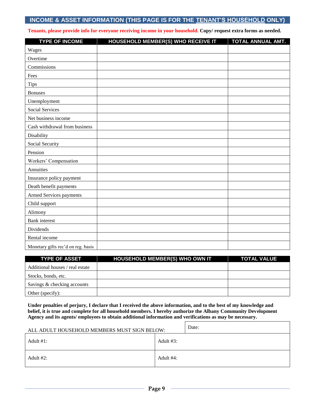#### **INCOME & ASSET INFORMATION (THIS PAGE IS FOR THE TENANT'S HOUSEHOLD ONLY)**

**Tenants, please provide info for everyone receiving income in your household. Copy/ request extra forms as needed.**

| <b>TYPE OF INCOME</b>              | <b>HOUSEHOLD MEMBER(S) WHO RECEIVE IT</b> | TOTAL ANNUAL AMT. |
|------------------------------------|-------------------------------------------|-------------------|
| Wages                              |                                           |                   |
| Overtime                           |                                           |                   |
| Commissions                        |                                           |                   |
| Fees                               |                                           |                   |
| <b>Tips</b>                        |                                           |                   |
| <b>Bonuses</b>                     |                                           |                   |
| Unemployment                       |                                           |                   |
| <b>Social Services</b>             |                                           |                   |
| Net business income                |                                           |                   |
| Cash withdrawal from business      |                                           |                   |
| Disability                         |                                           |                   |
| Social Security                    |                                           |                   |
| Pension                            |                                           |                   |
| Workers' Compensation              |                                           |                   |
| Annuities                          |                                           |                   |
| Insurance policy payment           |                                           |                   |
| Death benefit payments             |                                           |                   |
| Armed Services payments            |                                           |                   |
| Child support                      |                                           |                   |
| Alimony                            |                                           |                   |
| <b>Bank</b> interest               |                                           |                   |
| Dividends                          |                                           |                   |
| Rental income                      |                                           |                   |
| Monetary gifts rec'd on reg. basis |                                           |                   |

| <b>TYPE OF ASSET</b>            | <b>HOUSEHOLD MEMBER(S) WHO OWN IT</b> | <b>TOTAL VALUE</b> |
|---------------------------------|---------------------------------------|--------------------|
| Additional houses / real estate |                                       |                    |
| Stocks, bonds, etc.             |                                       |                    |
| Savings & checking accounts     |                                       |                    |
| Other (specify):                |                                       |                    |

**Under penalties of perjury, I declare that I received the above information, and to the best of my knowledge and belief, it is true and complete for all household members. I hereby authorize the Albany Community Development Agency and its agents/ employees to obtain additional information and verifications as may be necessary.**

| ALL ADULT HOUSEHOLD MEMBERS MUST SIGN BELOW: | Date:        |
|----------------------------------------------|--------------|
| Adult $#1$ :                                 | Adult $#3$ : |
| Adult #2:                                    | Adult #4:    |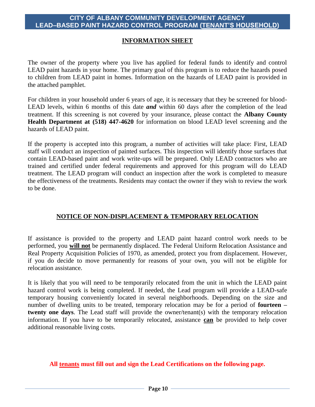#### **CITY OF ALBANY COMMUNITY DEVELOPMENT AGENCY LEAD–BASED PAINT HAZARD CONTROL PROGRAM (TENANT'S HOUSEHOLD)**

#### **INFORMATION SHEET**

The owner of the property where you live has applied for federal funds to identify and control LEAD paint hazards in your home. The primary goal of this program is to reduce the hazards posed to children from LEAD paint in homes. Information on the hazards of LEAD paint is provided in the attached pamphlet.

For children in your household under 6 years of age, it is necessary that they be screened for blood-LEAD levels, within 6 months of this date *and* within 60 days after the completion of the lead treatment. If this screening is not covered by your insurance, please contact the **Albany County Health Department at (518) 447-4620** for information on blood LEAD level screening and the hazards of LEAD paint.

If the property is accepted into this program, a number of activities will take place: First, LEAD staff will conduct an inspection of painted surfaces. This inspection will identify those surfaces that contain LEAD-based paint and work write-ups will be prepared. Only LEAD contractors who are trained and certified under federal requirements and approved for this program will do LEAD treatment. The LEAD program will conduct an inspection after the work is completed to measure the effectiveness of the treatments. Residents may contact the owner if they wish to review the work to be done.

#### **NOTICE OF NON-DISPLACEMENT & TEMPORARY RELOCATION**

If assistance is provided to the property and LEAD paint hazard control work needs to be performed, you **will not** be permanently displaced. The Federal Uniform Relocation Assistance and Real Property Acquisition Policies of 1970, as amended, protect you from displacement. However, if you do decide to move permanently for reasons of your own, you will not be eligible for relocation assistance.

It is likely that you will need to be temporarily relocated from the unit in which the LEAD paint hazard control work is being completed. If needed, the Lead program will provide a LEAD-safe temporary housing conveniently located in several neighborhoods. Depending on the size and number of dwelling units to be treated, temporary relocation may be for a period of **fourteen – twenty one days**. The Lead staff will provide the owner/tenant(s) with the temporary relocation information. If you have to be temporarily relocated, assistance **can** be provided to help cover additional reasonable living costs.

#### **All tenants must fill out and sign the Lead Certifications on the following page.**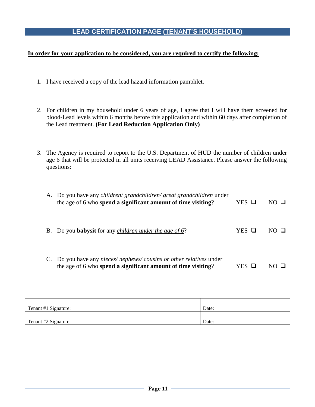#### **LEAD CERTIFICATION PAGE (TENANT'S HOUSEHOLD)**

#### **In order for your application to be considered, you are required to certify the following:**

- 1. I have received a copy of the lead hazard information pamphlet.
- 2. For children in my household under 6 years of age, I agree that I will have them screened for blood-Lead levels within 6 months before this application and within 60 days after completion of the Lead treatment. **(For Lead Reduction Application Only)**
- 3. The Agency is required to report to the U.S. Department of HUD the number of children under age 6 that will be protected in all units receiving LEAD Assistance. Please answer the following questions:

| A. Do you have any <i>children/ grandchildren/ great grandchildren</i> under<br>the age of 6 who spend a significant amount of time visiting? | YES □ | NO H         |
|-----------------------------------------------------------------------------------------------------------------------------------------------|-------|--------------|
| B. Do you <b>babysit</b> for any <i>children under the age of 6</i> ?                                                                         | YES O | $N()$ $\Box$ |
| Do you have any <i>nieces/nephews/cousins or other relatives</i> under<br>the age of 6 who spend a significant amount of time visiting?       | YES   |              |

| Tenant #1 Signature: | Date: |
|----------------------|-------|
|                      |       |
| Tenant #2 Signature: | Date: |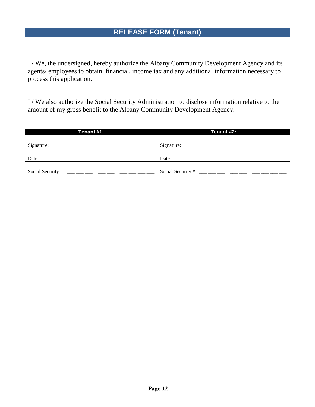I / We, the undersigned, hereby authorize the Albany Community Development Agency and its agents/ employees to obtain, financial, income tax and any additional information necessary to process this application.

I / We also authorize the Social Security Administration to disclose information relative to the amount of my gross benefit to the Albany Community Development Agency.

| Tenant #1:         | Tenant #2:         |
|--------------------|--------------------|
|                    |                    |
| Signature:         | Signature:         |
|                    |                    |
| Date:              | Date:              |
|                    |                    |
| Social Security #: | Social Security #: |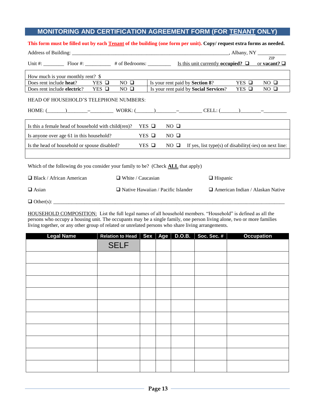#### **MONITORING AND CERTIFICATION AGREEMENT FORM (FOR TENANT ONLY)**

#### **This form must be filled out by each Tenant of the building (one form per unit). Copy/ request extra forms as needed.**

| Unit #: Floor #: $\Box$ Floor #: $\Box$ # of Bedrooms: $\Box$ Is this unit currently occupied? $\Box$ or vacant? $\Box$ |                                           |              |             |                                                        |                 |                                         |
|-------------------------------------------------------------------------------------------------------------------------|-------------------------------------------|--------------|-------------|--------------------------------------------------------|-----------------|-----------------------------------------|
| How much is your monthly rent? \$                                                                                       |                                           |              |             |                                                        |                 |                                         |
| Does rent include heat?<br>$YES$ $\Box$                                                                                 | $NO$ $\Box$                               |              |             | Is your rent paid by Section 8?                        | $YES$ $\square$ | NO $\square$                            |
| $YES$ $\Box$<br>Does rent include electric?                                                                             | NO $\Box$                                 |              |             | Is your rent paid by Social Services?                  | $YES$ $\Box$    | $NO$ $\Box$                             |
| HEAD OF HOUSEHOLD'S TELEPHONE NUMBERS:                                                                                  |                                           |              |             |                                                        |                 |                                         |
| Is this a female head of household with child(ren)?                                                                     |                                           | $YES$ $\Box$ | $NO$ $\Box$ |                                                        |                 |                                         |
| Is anyone over age 61 in this household?                                                                                |                                           | $YES$ $\Box$ | $NO$ $\Box$ |                                                        |                 |                                         |
| Is the head of household or spouse disabled?                                                                            | $YES$ $\Box$                              |              | $NO$ $\Box$ | If yes, list type(s) of disability(-ies) on next line: |                 |                                         |
|                                                                                                                         |                                           |              |             |                                                        |                 |                                         |
| Which of the following do you consider your family to be? (Check <b>ALL</b> that apply)                                 |                                           |              |             |                                                        |                 |                                         |
| $\Box$ Black / African American                                                                                         | $\Box$ White / Caucasian                  |              |             | $\Box$ Hispanic                                        |                 |                                         |
| $\Box$ Asian                                                                                                            | $\Box$ Native Hawaiian / Pacific Islander |              |             |                                                        |                 | $\Box$ American Indian / Alaskan Native |
|                                                                                                                         |                                           |              |             |                                                        |                 |                                         |

HOUSEHOLD COMPOSITION: List the full legal names of all household members. "Household" is defined as all the persons who occupy a housing unit. The occupants may be a single family, one person living alone, two or more families living together, or any other group of related or unrelated persons who share living arrangements.

| <b>Legal Name</b> | Relation to Head   Sex   Age   D.O.B. |  | Soc. Sec. # | <b>Occupation</b> |
|-------------------|---------------------------------------|--|-------------|-------------------|
|                   | <b>SELF</b>                           |  |             |                   |
|                   |                                       |  |             |                   |
|                   |                                       |  |             |                   |
|                   |                                       |  |             |                   |
|                   |                                       |  |             |                   |
|                   |                                       |  |             |                   |
|                   |                                       |  |             |                   |
|                   |                                       |  |             |                   |
|                   |                                       |  |             |                   |
|                   |                                       |  |             |                   |
|                   |                                       |  |             |                   |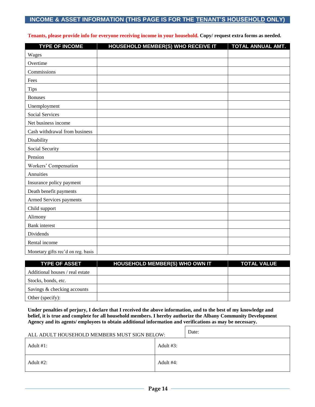#### **INCOME & ASSET INFORMATION (THIS PAGE IS FOR THE TENANT'S HOUSEHOLD ONLY)**

|  |  |  | Tenants, please provide info for everyone receiving income in your household. Copy/ request extra forms as needed. |
|--|--|--|--------------------------------------------------------------------------------------------------------------------|
|--|--|--|--------------------------------------------------------------------------------------------------------------------|

| <b>TYPE OF INCOME</b>              | HOUSEHOLD MEMBER(S) WHO RECEIVE IT | TOTAL ANNUAL AMT. |
|------------------------------------|------------------------------------|-------------------|
| Wages                              |                                    |                   |
| Overtime                           |                                    |                   |
| Commissions                        |                                    |                   |
| Fees                               |                                    |                   |
| <b>Tips</b>                        |                                    |                   |
| <b>Bonuses</b>                     |                                    |                   |
| Unemployment                       |                                    |                   |
| Social Services                    |                                    |                   |
| Net business income                |                                    |                   |
| Cash withdrawal from business      |                                    |                   |
| Disability                         |                                    |                   |
| Social Security                    |                                    |                   |
| Pension                            |                                    |                   |
| Workers' Compensation              |                                    |                   |
| Annuities                          |                                    |                   |
| Insurance policy payment           |                                    |                   |
| Death benefit payments             |                                    |                   |
| Armed Services payments            |                                    |                   |
| Child support                      |                                    |                   |
| Alimony                            |                                    |                   |
| <b>Bank</b> interest               |                                    |                   |
| Dividends                          |                                    |                   |
| Rental income                      |                                    |                   |
| Monetary gifts rec'd on reg. basis |                                    |                   |

| <b>TYPE OF ASSET</b>            | <b>HOUSEHOLD MEMBER(S) WHO OWN IT</b> | <b>TOTAL VALUE</b> |
|---------------------------------|---------------------------------------|--------------------|
| Additional houses / real estate |                                       |                    |
| Stocks, bonds, etc.             |                                       |                    |
| Savings & checking accounts     |                                       |                    |
| Other (specify):                |                                       |                    |

**Under penalties of perjury, I declare that I received the above information, and to the best of my knowledge and belief, it is true and complete for all household members. I hereby authorize the Albany Community Development Agency and its agents/ employees to obtain additional information and verifications as may be necessary.**

| ALL ADULT HOUSEHOLD MEMBERS MUST SIGN BELOW: |              | Date: |
|----------------------------------------------|--------------|-------|
| Adult $#1$ :                                 | Adult $#3$ : |       |
| Adult $#2$ :                                 | Adult #4:    |       |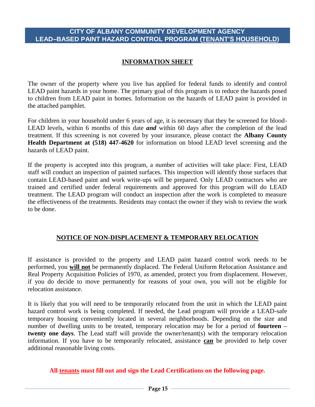#### **CITY OF ALBANY COMMUNITY DEVELOPMENT AGENCY LEAD–BASED PAINT HAZARD CONTROL PROGRAM (TENANT'S HOUSEHOLD)**

#### **INFORMATION SHEET**

The owner of the property where you live has applied for federal funds to identify and control LEAD paint hazards in your home. The primary goal of this program is to reduce the hazards posed to children from LEAD paint in homes. Information on the hazards of LEAD paint is provided in the attached pamphlet.

For children in your household under 6 years of age, it is necessary that they be screened for blood-LEAD levels, within 6 months of this date *and* within 60 days after the completion of the lead treatment. If this screening is not covered by your insurance, please contact the **Albany County Health Department at (518) 447-4620** for information on blood LEAD level screening and the hazards of LEAD paint.

If the property is accepted into this program, a number of activities will take place: First, LEAD staff will conduct an inspection of painted surfaces. This inspection will identify those surfaces that contain LEAD-based paint and work write-ups will be prepared. Only LEAD contractors who are trained and certified under federal requirements and approved for this program will do LEAD treatment. The LEAD program will conduct an inspection after the work is completed to measure the effectiveness of the treatments. Residents may contact the owner if they wish to review the work to be done.

#### **NOTICE OF NON-DISPLACEMENT & TEMPORARY RELOCATION**

If assistance is provided to the property and LEAD paint hazard control work needs to be performed, you **will not** be permanently displaced. The Federal Uniform Relocation Assistance and Real Property Acquisition Policies of 1970, as amended, protect you from displacement. However, if you do decide to move permanently for reasons of your own, you will not be eligible for relocation assistance.

It is likely that you will need to be temporarily relocated from the unit in which the LEAD paint hazard control work is being completed. If needed, the Lead program will provide a LEAD-safe temporary housing conveniently located in several neighborhoods. Depending on the size and number of dwelling units to be treated, temporary relocation may be for a period of **fourteen – twenty one days**. The Lead staff will provide the owner/tenant(s) with the temporary relocation information. If you have to be temporarily relocated, assistance **can** be provided to help cover additional reasonable living costs.

#### **All tenants must fill out and sign the Lead Certifications on the following page.**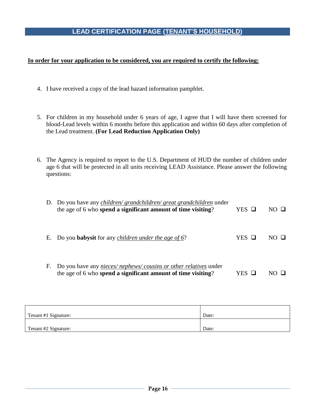#### **LEAD CERTIFICATION PAGE (TENANT'S HOUSEHOLD)**

#### **In order for your application to be considered, you are required to certify the following:**

- 4. I have received a copy of the lead hazard information pamphlet.
- 5. For children in my household under 6 years of age, I agree that I will have them screened for blood-Lead levels within 6 months before this application and within 60 days after completion of the Lead treatment. **(For Lead Reduction Application Only)**
- 6. The Agency is required to report to the U.S. Department of HUD the number of children under age 6 that will be protected in all units receiving LEAD Assistance. Please answer the following questions:

|    | D. Do you have any <i>children/ grandchildren/ great grandchildren</i> under<br>the age of 6 who spend a significant amount of time visiting? | YES 口 | NO H         |
|----|-----------------------------------------------------------------------------------------------------------------------------------------------|-------|--------------|
| Е. | Do you <b>babysit</b> for any <i>children under the age of 6?</i>                                                                             | YES O | $N()$ $\Box$ |
| F. | Do you have any <i>nieces/nephews/cousins or other relatives</i> under<br>the age of 6 who spend a significant amount of time visiting?       | YES   |              |

| Tenant #1 Signature: | Date: |
|----------------------|-------|
|                      |       |
| Tenant #2 Signature: | Date: |